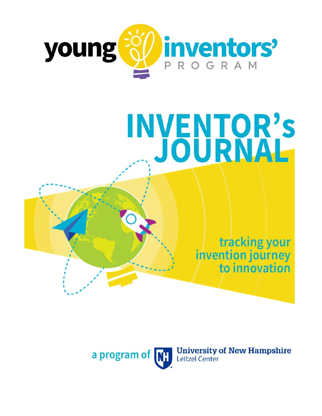

# INVENTOR'S

tracking your invention journey to innovation

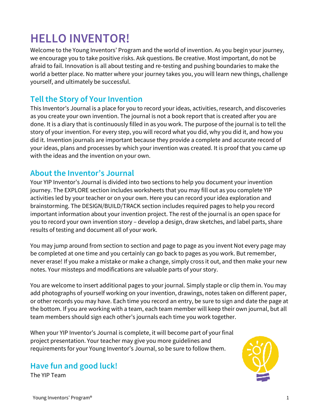# **HELLO INVENTOR!**

Welcome to the Young Inventors' Program and the world of invention. As you begin your journey, we encourage you to take positive risks. Ask questions. Be creative. Most important, do not be afraid to fail. Innovation is all about testing and re-testing and pushing boundaries to make the world a better place. No matter where your journey takes you, you will learn new things, challenge yourself, and ultimately be successful.

#### **Tell the Story of Your Invention**

This Inventor's Journal is a place for you to record your ideas, activities, research, and discoveries as you create your own invention. The journal is not a book report that is created after you are done. It is a diary that is continuously filled in as you work. The purpose of the journal is to tell the story of your invention. For every step, you will record what you did, why you did it, and how you did it. Invention journals are important because they provide a complete and accurate record of your ideas, plans and processes by which your invention was created. It is proof that you came up with the ideas and the invention on your own.

#### **About the Inventor's Journal**

Your YIP Inventor's Journal is divided into two sections to help you document your invention journey. The EXPLORE section includes worksheets that you may fill out as you complete YIP activities led by your teacher or on your own. Here you can record your idea exploration and brainstorming. The DESIGN/BUILD/TRACK section includes required pages to help you record important information about your invention project. The rest of the journal is an open space for you to record your own invention story – develop a design, draw sketches, and label parts, share results of testing and document all of your work.

You may jump around from section to section and page to page as you invent Not every page may be completed at one time and you certainly can go back to pages as you work. But remember, never erase! If you make a mistake or make a change, simply cross it out, and then make your new notes. Your missteps and modifications are valuable parts of your story.

You are welcome to insert additional pages to your journal. Simply staple or clip them in. You may add photographs of yourself working on your invention, drawings, notes taken on different paper, or other records you may have. Each time you record an entry, be sure to sign and date the page at the bottom. If you are working with a team, each team member will keep their own journal, but all team members should sign each other's journals each time you work together.

When your YIP Inventor's Journal is complete, it will become part of your final project presentation. Your teacher may give you more guidelines and requirements for your Young Inventor's Journal, so be sure to follow them.

#### **Have fun and good luck!**

The YIP Team

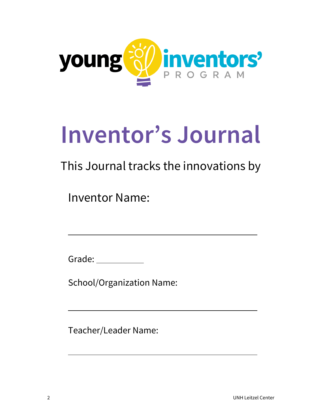

# **Inventor's Journal**

# This Journal tracks the innovations by

Inventor Name:

Grade: \_\_\_\_\_\_\_\_\_\_\_\_

l

 $\overline{a}$ 

l

School/Organization Name:

Teacher/Leader Name: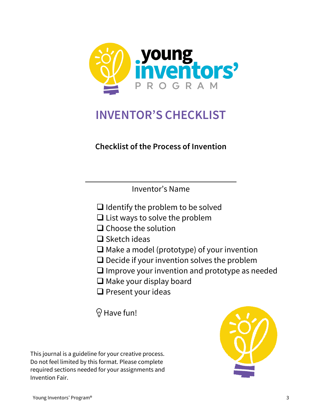

# **INVENTOR'S CHECKLIST**

#### **Checklist of the Process of Invention**

Inventor's Name

- $\Box$  Identify the problem to be solved
- ❑ List ways to solve the problem
- ❑ Choose the solution
- ❑ Sketch ideas

 $\overline{a}$ 

- ❑ Make a model (prototype) of your invention
- ❑ Decide if your invention solves the problem
- ❑ Improve your invention and prototype as needed
- ❑ Make your display board
- ❑ Present your ideas

 $\Theta$  Have fun!

This journal is a guideline for your creative process. Do not feel limited by this format. Please complete required sections needed for your assignments and Invention Fair.

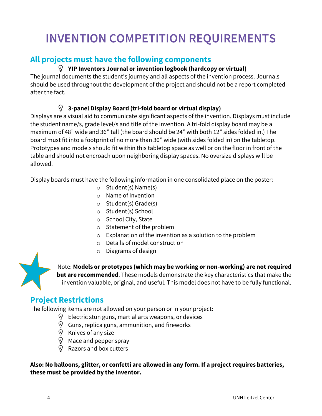# **INVENTION COMPETITION REQUIREMENTS**

#### **All projects must have the following components**

#### **YIP Inventors Journal or invention logbook (hardcopy or virtual)**

The journal documents the student's journey and all aspects of the invention process. Journals should be used throughout the development of the project and should not be a report completed after the fact.

#### $\varphi$ **3-panel Display Board (tri-fold board or virtual display)**

Displays are a visual aid to communicate significant aspects of the invention. Displays must include the student name/s, grade level/s and title of the invention. A tri-fold display board may be a maximum of 48" wide and 36" tall (the board should be 24" with both 12" sides folded in.) The board must fit into a footprint of no more than 30" wide (with sides folded in) on the tabletop. Prototypes and models should fit within this tabletop space as well or on the floor in front of the table and should not encroach upon neighboring display spaces. No oversize displays will be allowed.

Display boards must have the following information in one consolidated place on the poster:

- o Student(s) Name(s)
- o Name of Invention
- o Student(s) Grade(s)
- o Student(s) School
- o School City, State
- o Statement of the problem
- o Explanation of the invention as a solution to the problem
- o Details of model construction
- o Diagrams of design

Note: **Models or prototypes (which may be working or non-working) are not required but are recommended**. These models demonstrate the key characteristics that make the invention valuable, original, and useful. This model does not have to be fully functional.

#### **Project Restrictions**

The following items are not allowed on your person or in your project:

- Electric stun guns, martial arts weapons, or devices
- الی الی الی ا<br>ا Guns, replica guns, ammunition, and fireworks
- Knives of any size
- Mace and pepper spray
- Razors and box cutters

**Also: No balloons, glitter, or confetti are allowed in any form. If a project requires batteries, these must be provided by the inventor.**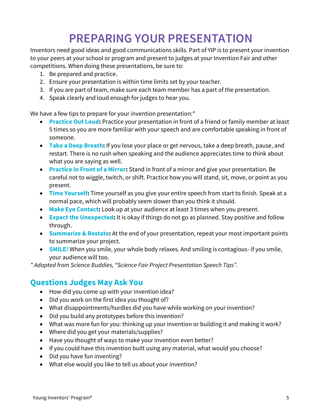# **PREPARING YOUR PRESENTATION**

Inventors need good ideas and good communications skills. Part of YIP is to present your invention to your peers at your school or program and present to judges at your Invention Fair and other competitions. When doing these presentations, be sure to:

- 1. Be prepared and practice.
- 2. Ensure your presentation is within time limits set by your teacher.
- 3. If you are part of team, make sure each team member has a part of the presentation.
- 4. Speak clearly and loud enough for judges to hear you.

We have a few tips to prepare for your invention presentation:<sup>\*</sup>

- **Practice Out Loud:** Practice your presentation in front of a friend or family member at least 5 times so you are more familiar with your speech and are comfortable speaking in front of someone.
- **Take a Deep Breath:** If you lose your place or get nervous, take a deep breath, pause, and restart. There is no rush when speaking and the audience appreciates time to think about what you are saying as well.
- **Practice in Front of a Mirror:** Stand in front of a mirror and give your presentation. Be careful not to wiggle, twitch, or shift. Practice how you will stand, sit, move, or point as you present.
- **Time Yourself:** Time yourself as you give your entire speech from start to finish. Speak at a normal pace, which will probably seem slower than you think it should.
- **Make Eye Contact:** Look up at your audience at least 3 times when you present.
- **Expect the Unexpected:** It is okay if things do not go as planned. Stay positive and follow through.
- **Summarize & Restate:** At the end of your presentation, repeat your most important points to summarize your project.
- **SMILE!** When you smile, your whole body relaxes. And smiling is contagious- if you smile, your audience will too.

*\* Adapted from Science Buddies, "Science Fair Project Presentation Speech Tips".* 

#### **Questions Judges May Ask You**

- How did you come up with your invention idea?
- Did you work on the first idea you thought of?
- What disappointments/hurdles did you have while working on your invention?
- Did you build any prototypes before this invention?
- What was more fun for you: thinking up your invention or building it and making it work?
- Where did you get your materials/supplies?
- Have you thought of ways to make your invention even better?
- If you could have this invention built using any material, what would you choose?
- Did you have fun inventing?
- What else would you like to tell us about your invention?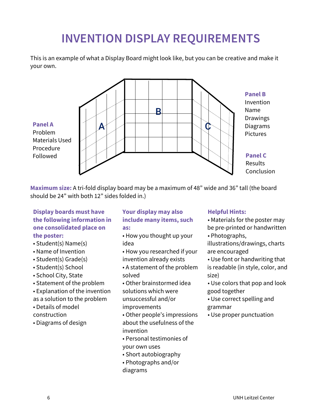# **INVENTION DISPLAY REQUIREMENTS**

This is an example of what a Display Board might look like, but you can be creative and make it your own.



**Maximum size:** A tri-fold display board may be a maximum of 48" wide and 36" tall (the board should be 24" with both 12" sides folded in.)

#### **Display boards must have the following information in one consolidated place on the poster:**

- Student(s) Name(s)
- Name of Invention
- Student(s) Grade(s)
- Student(s) School
- School City, State
- Statement of the problem
- Explanation of the invention
- as a solution to the problem
- Details of model
- construction
- Diagrams of design

#### **Your display may also include many items, such as:**

- How you thought up your idea
- How you researched if your
- invention already exists
- A statement of the problem solved
- Other brainstormed idea solutions which were unsuccessful and/or improvements
- Other people's impressions about the usefulness of the invention
- Personal testimonies of
- your own uses
- Short autobiography
- Photographs and/or diagrams

#### **Helpful Hints:**

- Materials for the poster may be pre-printed or handwritten
- Photographs,

illustrations/drawings, charts are encouraged

- Use font or handwriting that is readable (in style, color, and size)
- Use colors that pop and look good together
- Use correct spelling and grammar
- Use proper punctuation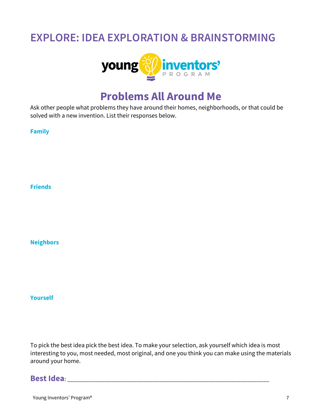# **EXPLORE: IDEA EXPLORATION & BRAINSTORMING**



## **Problems All Around Me**

Ask other people what problems they have around their homes, neighborhoods, or that could be solved with a new invention. List their responses below.

**Family** 

**Friends** 

**Neighbors** 

**Yourself** 

To pick the best idea pick the best idea. To make your selection, ask yourself which idea is most interesting to you, most needed, most original, and one you think you can make using the materials around your home.

#### **Best Idea: Best Idea: Best Idea: Best Idea: Best Idea: Best Idea: Best Idea: Best Idea: Best Idea: Best Idea: Best Idea: Best Idea: Best Idea: Best Idea: Best Idea: Best Idea: Best Idea:**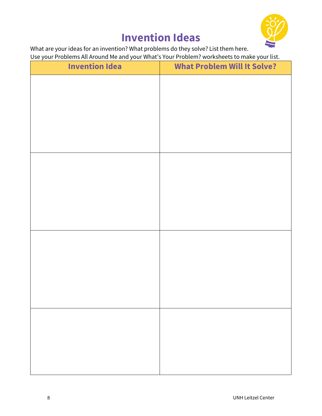

# **Invention Ideas**

What are your ideas for an invention? What problems do they solve? List them here. Use your Problems All Around Me and your What's Your Problem? worksheets to make your list.

| <b>Invention Idea</b> | <b>What Problem Will It Solve?</b> |
|-----------------------|------------------------------------|
|                       |                                    |
|                       |                                    |
|                       |                                    |
|                       |                                    |
|                       |                                    |
|                       |                                    |
|                       |                                    |
|                       |                                    |
|                       |                                    |
|                       |                                    |
|                       |                                    |
|                       |                                    |
|                       |                                    |
|                       |                                    |
|                       |                                    |
|                       |                                    |
|                       |                                    |
|                       |                                    |
|                       |                                    |
|                       |                                    |
|                       |                                    |
|                       |                                    |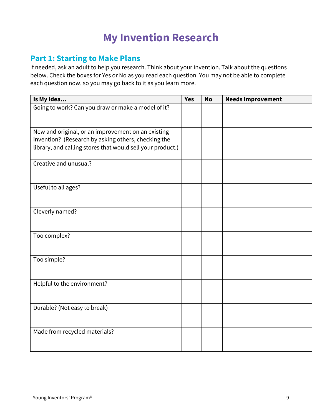# **My Invention Research**

#### **Part 1: Starting to Make Plans**

If needed, ask an adult to help you research. Think about your invention. Talk about the questions below. Check the boxes for Yes or No as you read each question. You may not be able to complete each question now, so you may go back to it as you learn more.

| Is My Idea                                                 | <b>Yes</b> | <b>No</b> | <b>Needs Improvement</b> |
|------------------------------------------------------------|------------|-----------|--------------------------|
| Going to work? Can you draw or make a model of it?         |            |           |                          |
|                                                            |            |           |                          |
| New and original, or an improvement on an existing         |            |           |                          |
| invention? (Research by asking others, checking the        |            |           |                          |
| library, and calling stores that would sell your product.) |            |           |                          |
| Creative and unusual?                                      |            |           |                          |
|                                                            |            |           |                          |
| Useful to all ages?                                        |            |           |                          |
|                                                            |            |           |                          |
| Cleverly named?                                            |            |           |                          |
|                                                            |            |           |                          |
| Too complex?                                               |            |           |                          |
|                                                            |            |           |                          |
| Too simple?                                                |            |           |                          |
|                                                            |            |           |                          |
| Helpful to the environment?                                |            |           |                          |
|                                                            |            |           |                          |
|                                                            |            |           |                          |
| Durable? (Not easy to break)                               |            |           |                          |
|                                                            |            |           |                          |
| Made from recycled materials?                              |            |           |                          |
|                                                            |            |           |                          |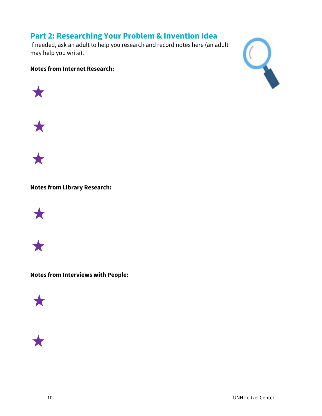#### **Part 2: Researching Your Problem & Invention Idea**

If needed, ask an adult to help you research and record notes here (an adult may help you write).

#### **Notes from Internet Research:**









#### **Notes from Library Research:**





**Notes from Interviews with People:** 



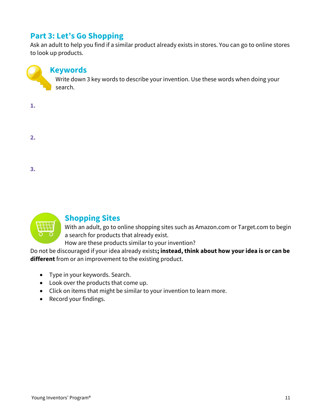#### **Part 3: Let's Go Shopping**

Ask an adult to help you find if a similar product already exists in stores. You can go to online stores to look up products.

#### **Keywords**

Write down 3 key words to describe your invention. Use these words when doing your search.

| 1. |  |  |  |
|----|--|--|--|
|    |  |  |  |
| 2. |  |  |  |
|    |  |  |  |
|    |  |  |  |
| 3. |  |  |  |



#### **Shopping Sites**

With an adult, go to online shopping sites such as Amazon.com or Target.com to begin a search for products that already exist.

How are these products similar to your invention?

Do not be discouraged if your idea already exists**; instead, think about how your idea is or can be different** from or an improvement to the existing product.

- Type in your keywords. Search.
- Look over the products that come up.
- Click on items that might be similar to your invention to learn more.
- Record your findings.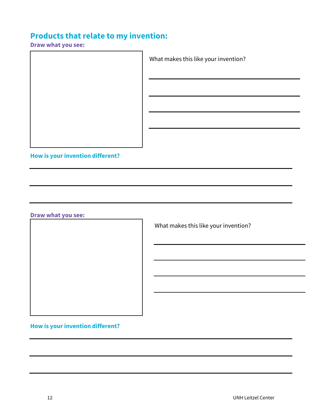#### **Products that relate to my invention:**

**Draw what you see:** 

 $\overline{\mathsf{I}}$ 

What makes this like your invention?

**How is your invention different?**

**Draw what you see:** 

What makes this like your invention?

**How is your invention different?**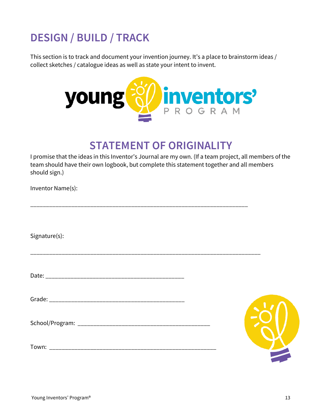# **DESIGN / BUILD / TRACK**

This section is to track and document your invention journey. It's a place to brainstorm ideas / collect sketches / catalogue ideas as well as state your intent to invent.



### **STATEMENT OF ORIGINALITY**

I promise that the ideas in this Inventor's Journal are my own. (If a team project, all members of the team should have their own logbook, but complete this statement together and all members should sign.)

\_\_\_\_\_\_\_\_\_\_\_\_\_\_\_\_\_\_\_\_\_\_\_\_\_\_\_\_\_\_\_\_\_\_\_\_\_\_\_\_\_\_\_\_\_\_\_\_\_\_\_\_\_\_\_\_\_\_\_\_\_\_\_\_\_\_\_\_\_

\_\_\_\_\_\_\_\_\_\_\_\_\_\_\_\_\_\_\_\_\_\_\_\_\_\_\_\_\_\_\_\_\_\_\_\_\_\_\_\_\_\_\_\_\_\_\_\_\_\_\_\_\_\_\_\_\_\_\_\_\_\_\_\_\_\_\_\_\_\_\_\_\_

Inventor Name(s):

Signature(s):

Date: \_\_\_\_\_\_\_\_\_\_\_\_\_\_\_\_\_\_\_\_\_\_\_\_\_\_\_\_\_\_\_\_\_\_\_\_\_\_\_\_\_\_\_\_

Grade: \_\_\_\_\_\_\_\_\_\_\_\_\_\_\_\_\_\_\_\_\_\_\_\_\_\_\_\_\_\_\_\_\_\_\_\_\_\_\_\_\_\_\_

School/Program: \_\_\_\_\_\_\_\_\_\_\_\_\_\_\_\_\_\_\_\_\_\_\_\_\_\_\_\_\_\_\_\_\_\_\_\_\_\_\_\_\_\_

Town:

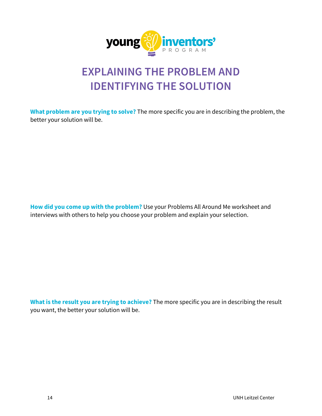

# **EXPLAINING THE PROBLEM AND IDENTIFYING THE SOLUTION**

**What problem are you trying to solve?** The more specific you are in describing the problem, the better your solution will be.

**How did you come up with the problem?** Use your Problems All Around Me worksheet and interviews with others to help you choose your problem and explain your selection.

**What is the result you are trying to achieve?** The more specific you are in describing the result you want, the better your solution will be.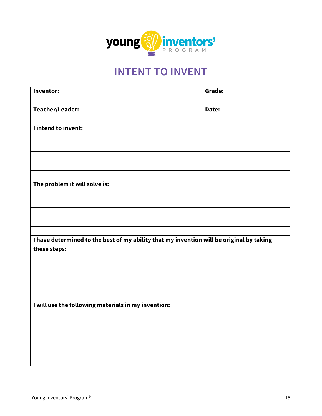

# **INTENT TO INVENT**

| Inventor:                                                                                                | Grade: |
|----------------------------------------------------------------------------------------------------------|--------|
| Teacher/Leader:                                                                                          | Date:  |
| I intend to invent:                                                                                      |        |
|                                                                                                          |        |
|                                                                                                          |        |
| The problem it will solve is:                                                                            |        |
|                                                                                                          |        |
|                                                                                                          |        |
|                                                                                                          |        |
| I have determined to the best of my ability that my invention will be original by taking<br>these steps: |        |
|                                                                                                          |        |
|                                                                                                          |        |
| I will use the following materials in my invention:                                                      |        |
|                                                                                                          |        |
|                                                                                                          |        |
|                                                                                                          |        |
|                                                                                                          |        |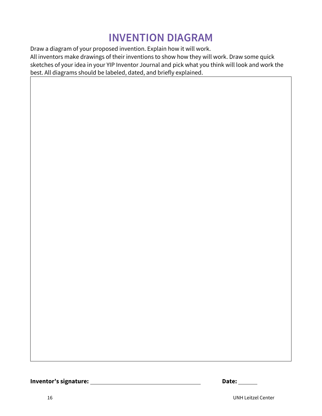# **INVENTION DIAGRAM**

Draw a diagram of your proposed invention. Explain how it will work. All inventors make drawings of their inventions to show how they will work. Draw some quick sketches of your idea in your YIP Inventor Journal and pick what you think will look and work the best. All diagrams should be labeled, dated, and briefly explained.

**Inventor's signature:** \_\_

|  | Date: |  |
|--|-------|--|
|--|-------|--|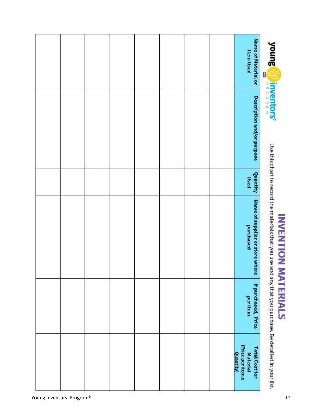

# **INVENTION MATERIALS**

Use this chart to record the materials that you use and any that you purchase. Be detailed in your list.

|  |  |  |  | Name of Material or<br><b>Item Used</b>                                    |
|--|--|--|--|----------------------------------------------------------------------------|
|  |  |  |  | Description and/or purpose                                                 |
|  |  |  |  | Quantity<br>Used                                                           |
|  |  |  |  | Name of supplier or store where<br>purchased                               |
|  |  |  |  | If purchased, Price<br>per item                                            |
|  |  |  |  | (Price per item x<br>Quantity)<br><b>Total Cost for</b><br><b>Material</b> |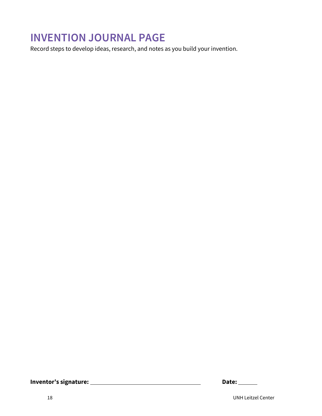Record steps to develop ideas, research, and notes as you build your invention.

| <b>Date:</b> |  |
|--------------|--|
|              |  |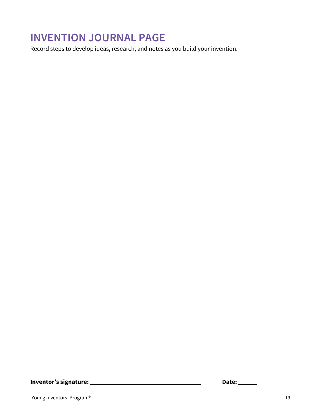Record steps to develop ideas, research, and notes as you build your invention.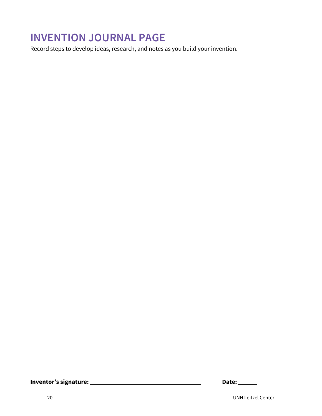Record steps to develop ideas, research, and notes as you build your invention.

| <b>Date:</b> |  |
|--------------|--|
|              |  |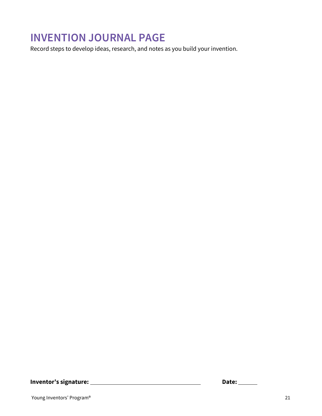Record steps to develop ideas, research, and notes as you build your invention.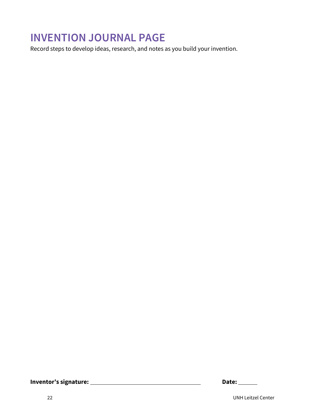Record steps to develop ideas, research, and notes as you build your invention.

| <b>Date:</b> |  |
|--------------|--|
|              |  |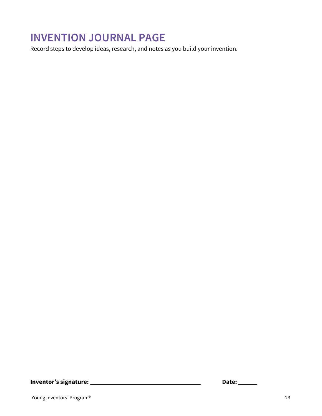Record steps to develop ideas, research, and notes as you build your invention.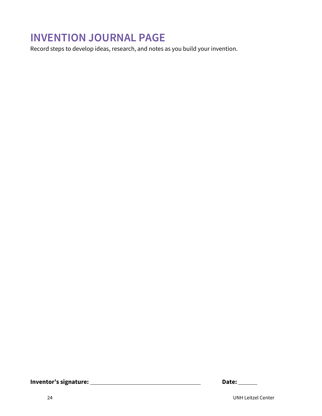Record steps to develop ideas, research, and notes as you build your invention.

| <b>Date:</b> |  |
|--------------|--|
|              |  |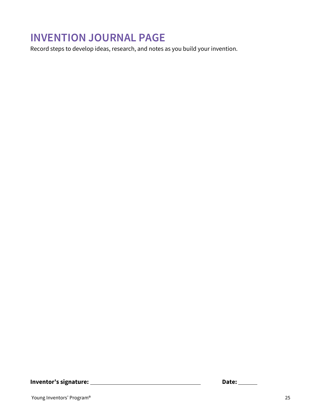Record steps to develop ideas, research, and notes as you build your invention.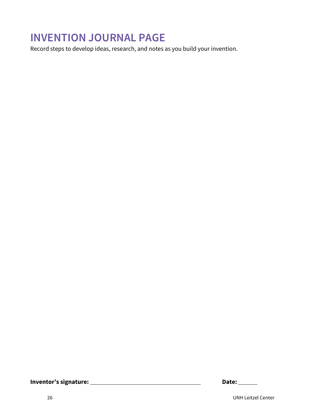Record steps to develop ideas, research, and notes as you build your invention.

| <b>Date:</b> |  |
|--------------|--|
|              |  |